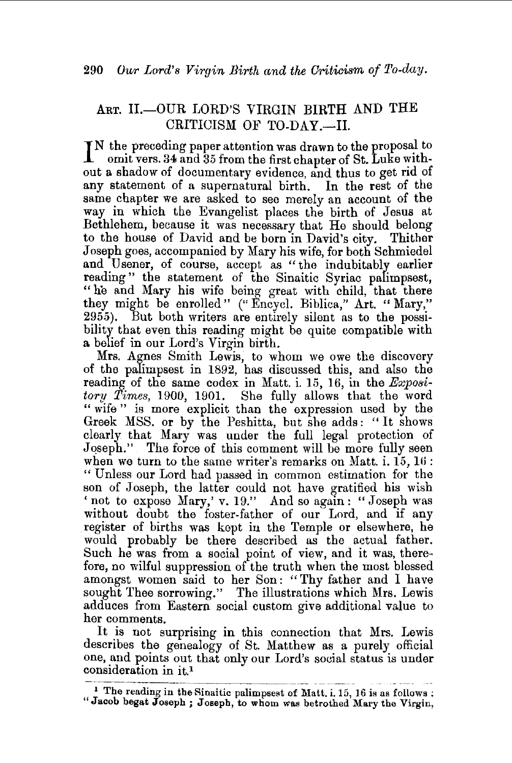## ART. H.-OUR LORD'S VIRGIN BIRTH AND THE CRITICISM OF TO-DAY.-II.

IN the preceding paper attention was drawn to the proposal to omit vers. 34 and 35 from the first chapter of St. Luke withomit vers. 34 and 35 from the first chapter of St. Luke without a shadow of documentary evidence, and thus to get rid of any statement of a supernatural birth. In the rest of the same chapter we are asked to see merely an account of the way in which the Evangelist places the birth of Jesus at Bethlehem, because it was necessary that He should belong to the house of David and be born in David's city. Thither Joseph goes, accompanied by Mary his wife, for both Schmiedel and Usener, of course, accept as "the indubitably earlier reading" the statement of the Sinaitic Syriac palimpsest, "he and Mary his wife being great with child, that there they might be enrolled" (" Encycl. Biblica," Art. " Mary,'' 2955). But both writers are entirely silent as to the possibility that even this reading might be quite compatible with a belief in our Lord's Virgin birth.

Mrs. Agnes Smith Lewis, to whom we owe the discovery of the palimpsest in 1892, has discussed this, and also the reading of the same codex in Matt. i. 15, 16, in the *Expository Times,* 1900, 1901. She fully allows that the word " wife " is more explicit than the expression used by the Greek MSS. or by the Peshitta, but she adds: '' It shows clearly that Mary was under the full legal protection of Joseph." The force of this comment will be more fully seen when we turn to the same writer's remarks on Matt.  $i$ ,  $15$ ,  $16$ : "Unless our Lord had passed in common estimation for the son of Joseph, the latter could not have gratified his wish 'not to expose Mary,' v. 19." And so again: "Joseph was without doubt the foster-father of our Lord, and if any register of births was kept in the Temple or elsewhere, he would probably be there described as the actual father. Such he was from a social point of view, and it was, therefore, no wilful suppression of the truth when the most blessed amongst women said to her Son: "Thy father and I have sought Thee sorrowing." The illustrations which Mrs. Lewis adduces from Eastern social custom give additional value to her comments.

It is not surprising in this connection that Mrs. Lewis describes the genealogy of St. Matthew as a purely official one, and points out that only our Lord's social status is under consideration in it.<sup>1</sup>

 $\frac{1}{\sqrt{2}}$  The reading in the Sinaitic palimpsest of Matt. i. 15, 16 is as follows ; "Jacob begat Joseph ; Joseph, to whom was betrothed Mary the Virgin,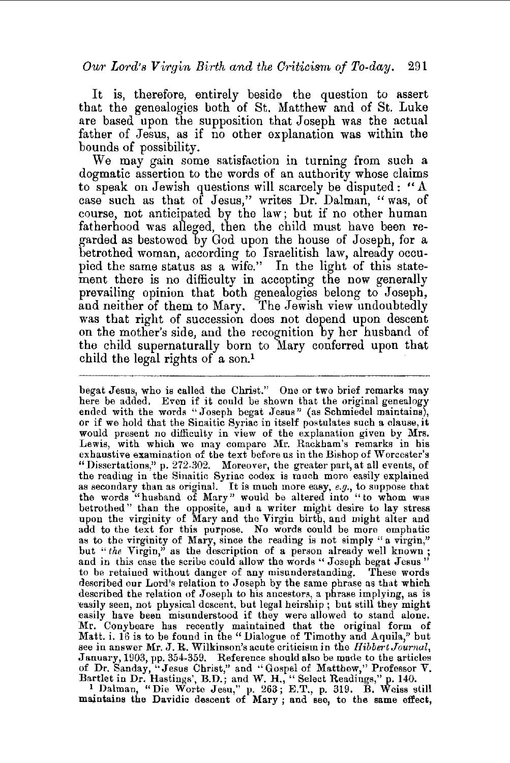It is, therefore, entirely beside the question to assert that the genealogies both of St. Matthew and of St. Luke are based upon the supposition that Joseph was the actual father of Jesus, as if no other explanation was within the bounds of possibility.

We may gain some satisfaction in turning from such a dogmatic assertion to the words of an authority whose claims to speak on Jewish questions will scarcely be disputed: "A case such as that of Jesus," writes Dr. Dalman, "was, of course, not anticipated by the law; but if no other human fatherhood was alleged, then the child must have been regarded as bestowed by God upon the house of Joseph, for a betrothed woman, according to Israelitish law, already occupied the same status as a wife." In the light of this statement there is no difficulty in accepting the now generally prevailing opinion that both genealogies belong to Joseph, and neither of them to Mary. The Jewish view undoubtedly was that right of succession does not depend upon descent on the mother's side, and the recognition by her husband of the child supernaturally born to Mary conferred upon that child the legal rights of a son.<sup>1</sup>

begat Jesus, who is called the Christ." One or two brief remarks may here be added. Even if it could be shown that the original genealogy ended with the words "Joseph begat Jesus" (as Schmiedel maintains), or if we hold that the Sinaitic Syriac in itself postulates such a clause, it or if we hold that the Sinaitic Syriac in itself postulates such a clause, it would present no difficulty in view of the explanation given by Mrs. Lewis, with which we may compare Mr. Rackham's remarks in his exhaustive examination of the text before us in the Bishop of Worcester's "Dissertations," p. 272-302. Moreover, the greater part, at all events, of the reading in the Sinaitic Syriac codex is much more easily explained as secondary than as original. It is much more easy, *e.g.,* to suppose that the words "husband of Mary" would be altered into "to whom was betrothed" than the opposite, and a writer might desire to lay stress upon the virginity of Mary and the Virgin birth, and might alter and add to the text for this purpose. No words could be more emphatic as to the virginity of Mary, since the reading is not simply "a virgin," but "the Virgin," as the description of a person already well known; and in this case the scribe could allow the words "Joseph begat Jesus" to be retained without danger of any misunderstanding. These words described our Lord's relation to Joseph by the same phrase as that which described the relation of Joseph to his ancestors, a phrase implying, as is easily seen, not physical descent, but legal heirship; but still they might easily have been misunderstood if they were allowed to stand alone. Mr. Conybeare has recently maintained that the original form of Matt. i. 16 is to be found in the" Dialogue of Timothy and Aquila," but see in answer Mr. J. R. Wilkinson's acute criticism in the *Hibbert Journal,*  January, 1903, pp. 354-359. Reference should also be made to the articles of Dr. Sanday, "Jesus Christ," and "Gospel of Matthew," Professor V. Bartlet in Dr. Hastings', B.D.; and W. H., "Select Readings," p. 140. 1 Dalman, "Die Worte Jesu," p. 263; E.T., p. 319. B. Weiss still

maintains the Davidic descent of Mary ; and see, to the same effect,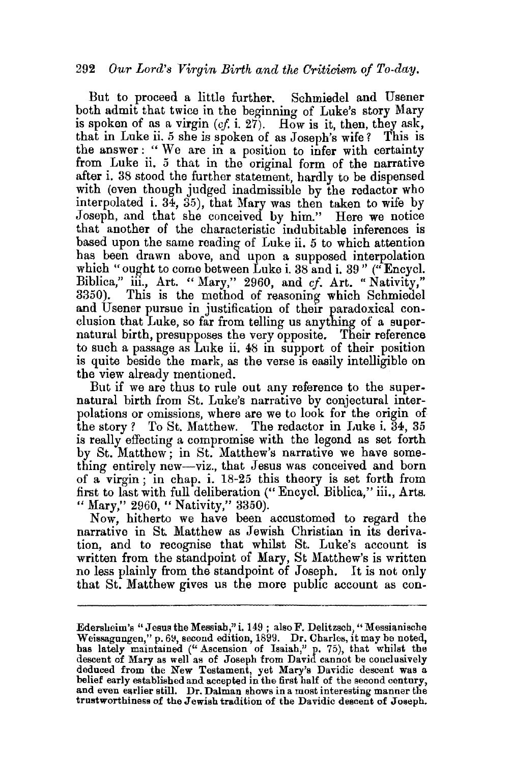But to proceed a little further. Schmiedel and Usener both admit that twice in the beginning of Luke's story Mary is spoken of as a virgin  $(cf, i, 27)$ . How is it, then, they ask, that in Luke ii. 5 she is spoken of as Joseph's wife? This is the answer : " We are in a position to infer with certainty from Luke ii. 5 that in the original form of the narrative after i. 38 stood the further statement, hardly to be dispensed with (even though judged inadmissible by the redactor who interpolated i. 34, 35), that Mary was then taken to wife by Joseph, and that she conceived by him." Here we notice that another of the characteristic indubitable inferences is based upon the same reading of Luke ii. *5* to which attention has been drawn above, and upon a supposed interpolation which "ought to come between Luke i. 38 and i. 39" ("Encycl. Biblica," iil., Art. "Mary," 2960, and *cf.* Art. "Nativity," 3350). This is the method of reasoning which Schmiedel and Usener pursue in justification of their paradoxical conclusion that Luke, so far from telling us anything of a supernatural birth, presupposes the very opposite. Their reference to such a passage as Luke ii. 48 in support of their position is quite beside the mark, as the verse is easily intelligible on the view already mentioned.

But if we are thus to rule out any reference to the supernatural birth from St. Luke's narrative by conjectural interpolations or omissions, where are we to look for the origin of the story ? To St. Matthew. The redactor in Luke i.  $34, 35$ is really effecting a compromise with the legend as set forth by St. Matthew; in St. Matthew's narrative we have something entirely new-viz., that Jesus was conceived and born of a virgin ; in chap. i. 18-25 this theory is set forth from first to last with full deliberation (" Encycl Biblica," iii., Arts. " Mary," 2960, " Nativity," 3350).

Now, hitherto we have been accustomed to regard the narrative in St. Matthew as Jewish Christian in its derivation, and to recognise that whilst St. Luke's account is written from the standpoint of Mary, St Matthew's is written no less plainly from the standpoint of Joseph. It is not only that St. Matthew gives us the more public account as con-

Edersheim's "Jesus the Messiah," i. 149; also F. Delitzsch, "Messianische Weissagungen," p. 69, second edition, 1899. Dr. Charles, it may be noted, has lately maintained ("Ascension of Isaiah," p. 75), that whilst the descent of Mary as well as of Joseph from David cannot be conclusively deduced from the New Testament, yet Mary's Davidic descent was a belief early established and accepted in the first half of the second century, and even earlier still. Dr. Dalman shows in a most interesting manner the trustworthiness of the Jewish tradition of the Davidic descent of Joseph.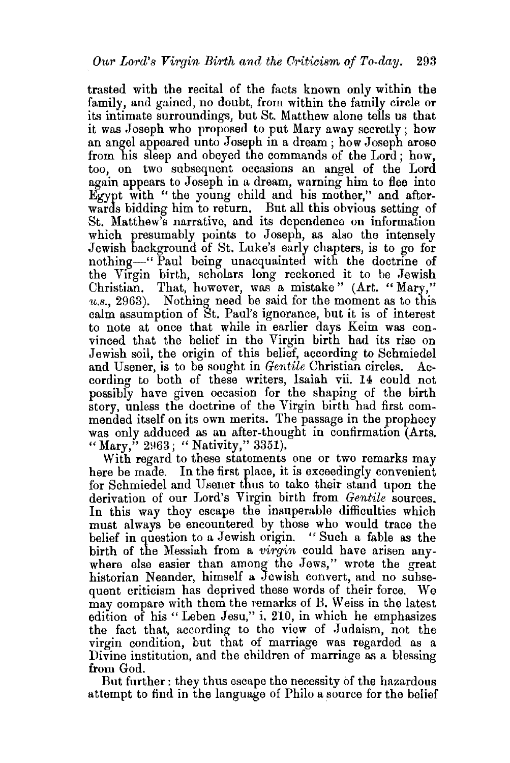trasted with the recital of the facts known only within the family, and gained, no doubt, from within the family circle or its intimate surroundings, but St. Matthew alone tells us that it was Joseph who proposed to put Mary away secretly; how an angel appeared unto Joseph in a dream; how Joseph arose from his sleep and obeyed the commands of the Lord; how, too, on two subsequent occasions an angel of the Lord again appears to Joseph in a dream, warning him to flee into Egypt with " the young child and his mother," and afterwards bidding him to return. But all this obvious setting of St. Matthew's narrative, and its dependence on information which presumably points to Joseph, as also the intensely Jewish background of St. Luke's early chapters, is to go for nothing—" Paul being unacquainted with the doctrine of the Virgin birth, scholars long reckoned it to be Jewish Christian. That, however, was a mistake" (Art. "Mary,"  $u.s., 2963$ ). Nothing need be said for the moment as to this calm assumption of St. Paul's ignorance, but it is of interest to note at once that while in earlier days Keim was convinced that the belief in the Virgin birth had its rise on Jewish soil, the origin of this belief, according to Schmiedel and Usener, is to be sought in *Gentile* Christian circles. According to both of these writers, Isaiah vii. 14 could not possibly have given occasion for the shaping of the birth story, unless the doctrine of the Virgin birth had first commended itself on its own merits. The passage in the prophecy was only adduced as an after-thought in confirmation (Arts. " Mary,"  $2\,963$ ; "Nativity," 3351).

With regard to these statements one or two remarks may here be made. In the first place, it is exceedingly convenient for Schmiedel and U sener thus to take their stand upon the derivation of our Lord's Virgin birth from *Gentile* sources. In this way they escape the insuperable difficulties which must always be encountered by those who would trace the belief in question to a Jewish origin. " Such a fable as the birth of the Messiah from a *virgin* could have arisen anywhere else easier than among the Jews," wrote the great historian Neander, himself a Jewish convert, and no subsequent criticism has deprived these words of their force. We may compare with them the remarks of B. Weiss in the latest edition of his "Leben Jesu," i. 210, in which he emphasizes the fact that, according to the view of Judaism, not the virgin condition, but that of marriage was regarded as a Divine institution, and the children of marriage as a blessing from God.

But further: they thus escape the necessity of the hazardous attempt to find in the language of Philo a source for the belief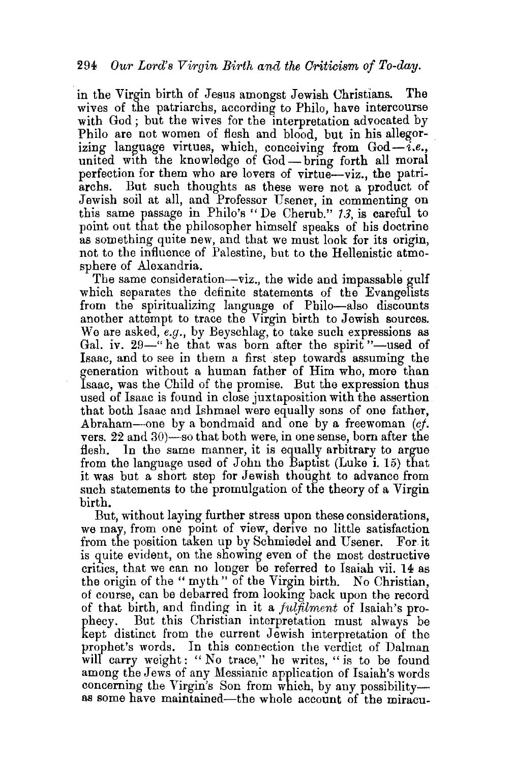## 294 *Our Lm·d's Virgin Birth and the Criticism of To-day.*

in the Virgin birth of Jesus amongst Jewish Christians. The wives of the patriarchs, according to Philo, have intercourse with God; but the wives for the interpretation advocated by Philo are not women of flesh and blood, but in his allegorizing language virtues, which, conceiving from  $God-i.e.,$ united with the knowledge of God-bring forth all moral perfection for them who are lovers of virtue-viz., the patriarchs. But such thoughts as these were not a product of Jewish soil at all, and Professor Usener, in commenting on this same passage in Philo's" De Cherub." 13, is careful to point out that the philosopher himself speaks of his doctrine as something quite new, and that we must look for its origin, not to the influence of Palestine, but to the Hellenistic atmosphere of Alexandria.

The same consideration-viz., the wide and impassable gulf which separates the definite statements of the Evangelists from the spiritualizing language of Philo-also discounts another attempt to trace the Virgin birth to Jewish sources. We are asked, *e.g.,* by Beyschlag, to take such expressions as Gal. iv.  $29$ —" he that was born after the spirit "-used of Isaac, and to see in them a first step towards assuming the generation without a human father of Him who, more than Isaac, was the Child of the promise. But the expression thus used of Isaac is found in close juxtaposition with the assertion that both Isaac and Ishmael were equally sons of one father, Abraham-one by a bondmaid and one by a freewoman *(cj.*  vers.  $22$  and  $30$ )—so that both were, in one sense, born after the flesh. In the same manner, it is equally arbitrary to argue from the language used of John the Baptist (Luke i. 15) that it was but a short step for Jewish thought to advance from such statements to the promulgation of the theory of a Virgin birth.

But, without laying further stress upon these considerations, we may, from one point of view, derive no little satisfaction from the position taken up by Schmiedel and Usener. For it is quite evident, on the showing even of the most destructive critics, that we can no longer be referred to Isaiah vii. 14 as the origin of the "myth" of the Virgin birth. No Christian. of course, can be debarred from lookmg back upon the record of that birth, and finding in it a *fulfilment* of Isaiah's prophecy. But this Christian interpretation must always be kept distinct from the current Jewish interpretation of the prophet's words. In this connection the verdict of Dalman will carry weight: "No trace," he writes, "is to be found among the Jews of any Messianic application of Isaiah's words concerning the Virgin's Son from which, by any possibilityas some have maintained-the whole account of the miracu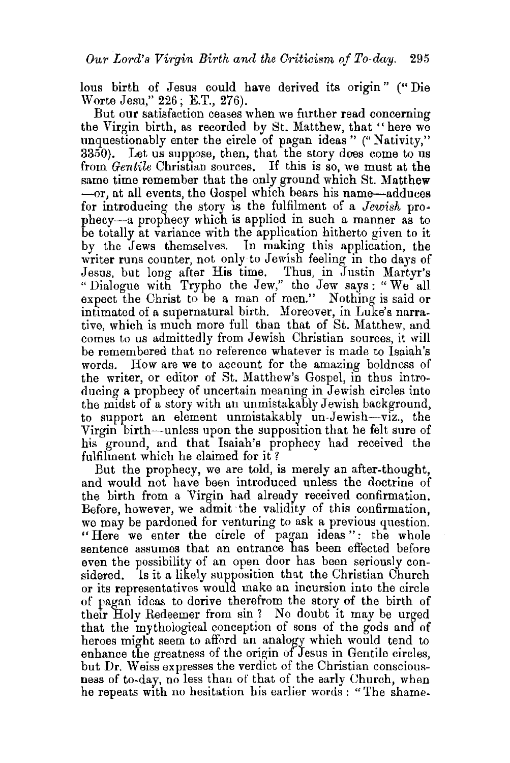lous birth of Jesus could have derived its origin" ("Die Worte Jesu," 226; E.T., 276).

But our satisfaction ceases when we further read concerning the Virgin birth, as recorded by St. Matthew, that "here we unquestionably enter the circle of pagan ideas" ("Nativity,"  $3350$ . Let us suppose, then, that the story does come to us from *Gentile* Christian sources. If this is so, we must at the same time remember that the only ground which St. Matthew -or, at all events, the Gospel which bears his name-adduces for introducing the story is the fulfilment of a *Jewish* pro· phecy-a prophecy which is applied in such a manner as to be totally at variance with the application hitherto given to it by the Jews themselves. In making this application, the writer runs counter, not only to Jewish feeling in the days of Jesus. but long after His time. Thus, in Justin Martyr's "Dialogue with Trypho the Jew," the Jew says: "We all expect the Christ to be a man of men." Nothing is said or intimated of a supernatural birth. Moreover, in Luke's narrative, which is much more full than that of St. Matthew, and comes to us admittedly from Jewish Christian sources, it will be remembered that no reference whatever is made to Isaiah's words. How are we to account for the amazing boldness of the writer, or editor of St. Matthew's Gospel, in thus introducing a prophecy of uncertain meaning in Jewish circles into the midst of a story with an unmistakably Jewish background, to support an element unmistakably un-Jewish-viz., the Virgin birth-unless upon the supposition that he felt sure of his ground, and that Isaiah's prophecy had received the fulfilment which he claimed for it ?

But the prophecy, we are told, is merely an after-thought, and would not have been introduced unless the doctrine of the birth from a Virgin had already received confirmation. Before, however, we admit the validity of this confirmation, we may be pardoned for venturing to ask a previous question. "Here we enter the circle of pagan ideas ": the whole sentence assumes that an entrance has been eft'ected before even the possibility of an open door has been seriously considered. Is it a likely supposition that the Christian Church or its representatives would make an incursion into the circle of pagan ideas to derive therefrom the story of the birth of their Holy Redeemer from sin ? No doubt it may be urged that the mythological conception of sons of the gods and of heroes might seem to afford an analogy which would tend to enhance the greatness of the origin of Jesus in Gentile circles, but Dr. Weiss expresses the verdict of the Christian consciousness of to-day, no less than of that of the early Church, when he repeats with no hesitation his earlier words : "The shame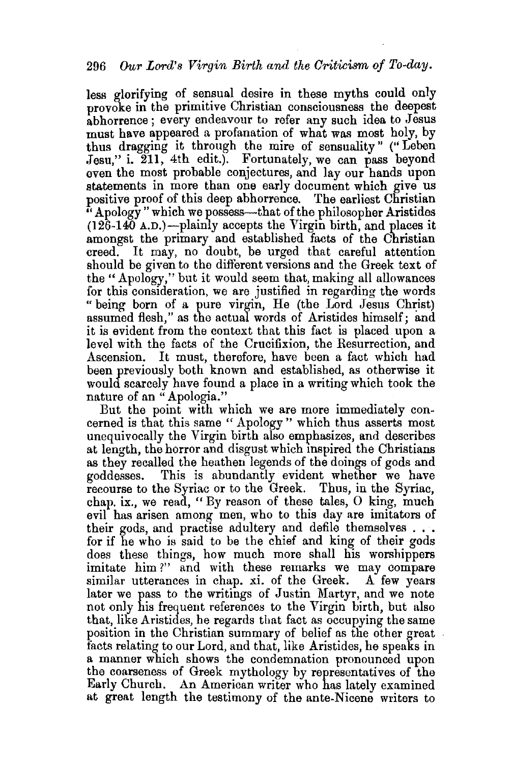less glorifying of sensual desire in these myths could only provoke in the primitive Christian consciousness the deepest abhorrence; every endeavour to refer any such idea to Jesus must have appeared a profanation of what was most holy, by thus dragging it through the mire of sensuality " (" Leben Jesu," i. 211, 4th edit.). Fortunately, we can pass beyond even the most probable conjectures, and lay our hands upon statements in more than one early document which give us positive proof of this deep abhorrence. The earliest Christian  $\cdot$  Apology" which we possess—that of the philosopher Aristides  $(126-140 A.D.)$ -plainly accepts the Virgin birth, and places it amongst the primary and established facts of the Christian creed. It may, no doubt, be urged that careful attention should be given to the different versions and the Greek text of the" Apology," but it would seem that, making all allowances for this consideration, we are justified in regarding the words " being born of a pure virgin, He (the Lord Jesus Christ) assumed flesh," as the actual words of Aristides himself; and it is evident from the context that this fact is placed upon a level with the facts of the Crucifixion, the Resurrection, and Ascension. It must, therefore, have been a fact which had been previously both known and established, as otherwise it would scarcely have found a place in a writing which took the nature of an "Apologia."

But the point with which we are more immediately concerned is that this same "Apology" which thus asserts most unequivocally the Virgin birth also emphasizes, and describes at length, the horror and disgust which mspired the Christians as they recalled the heathen legends of the doings of gods and goddesses. This is abundantly evident whether we have recourse to the Syriac or to the Greek. Thus, in the Syriac, chap. ix., we read, " By reason of these tales, 0 king, much evil has arisen among men, who to this day are imitators of their gods, and practise adultery and defile themselves ... for if he who is said to be the chief and king of their gods does these things, how much more shall his worshippers imitate him?" and with these remarks we may compare similar utterances in chap. xi. of the Greek. A few years similar utterances in chap. xi. of the Greek. later we pass to the writings of Justin Martyr, and we note not only his frequent references to the Virgin birth, but also that, like Aristides, he regards that fact as occupying the same position in the Christian summary of belief as the other great facts relating to our Lord, and that, like Aristides, he speaks in a manner which shows the condemnation pronounced upon the coarseness of Greek mythology by representatives of the Early Church. An American writer who has lately examined at great length the testimony of the ante-Nicene writers to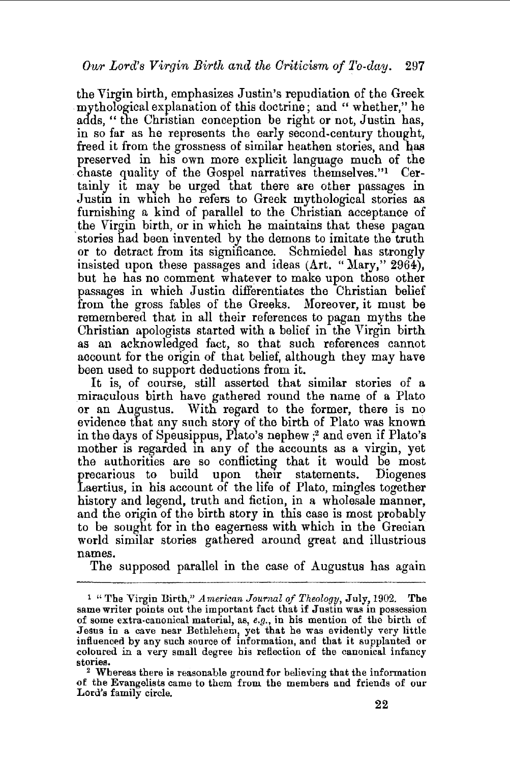the Virgin birth, emphasizes Justin's repudiation of the Greek mythological explanation of this doctrine; and " whether," he adds, "the Christian conception be right or not, Justin has, in so far as he represents the early second-century thought, freed it from the grossness of similar heathen stories, and has preserved in his own more explicit language much of the chaste quality of the Gospel narratives themselves."<sup>1</sup> Certainly it may be urged that there are other passages in Justin in which he refers to Greek mythological stories as furnishing a kind of parallel to the Christian acceptance of the Virgin birth, or in which he maintains that these pagan stories had been invented by the demons to imitate the truth or to detract from its significance. Schmiedel has strongly insisted upon these passages and ideas  $(Art. "Mary," 2964),$ but he has no comment whatever to make upon those other passages in which Justin differentiates the Christian belief from the gross fables of the Greeks. Moreover, it must be remembered that in all their references to pagan myths the Christian apologists started with a belief in the Virgin birth as an acknowledged fact, so that such references cannot account for the origin of that belief, although they may have been used to support deductions from it.

It is, of course, still asserted that similar stories of a miraculous birth have gathered round the name of a Plato or an Augustus. With regard to the former, there is no evidence that any such story of the birth of Plato was known in the days of Speusippus, Plato's nephew ; 2 and even if Plato's mother is regarded in any of the accounts as a virgin, yet the authorities are so conflicting that it would be most precarious to build upon the1r statements. Diogenes Laertius, in his account of the life of Plato, mingles together history and legend, truth and fiction, in a wholesale manner, and the origin of the birth story in this case is most probably to be sought for in the eagerness with which in the Grecian world similar stories gathered around great and illustrious names.

The supposed parallel in the case of Augustus has again

<sup>1 &</sup>quot;The Virgin Birth," *American Journal of Theology,* July, 1902. The same writer points out the important fact that if Justin was in possession of some extra-canonical material, as, *e.g.,* in his mention of the birth of Jesus in a cave near Bethlehem, yet that he was evidently very little influenced by any such source of information, and that it supplanted or coloured in a very small degree his reflection of the canonical infancy

<sup>&</sup>lt;sup>2</sup> Whereas there is reasonable ground for believing that the information of the Evangelists came to them from the members and friends of our Lord's family circle.